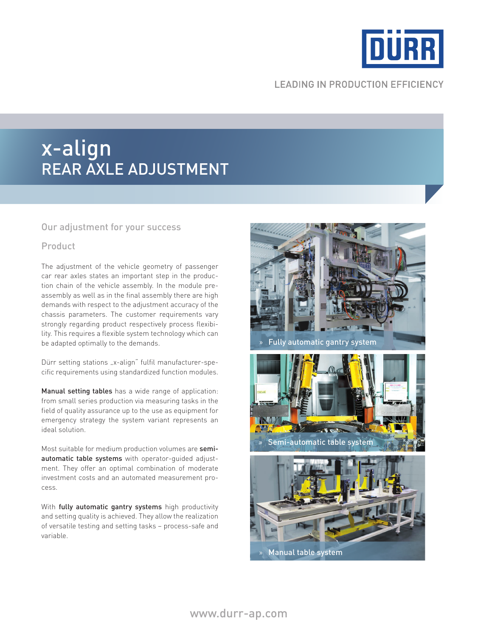

# **LEADING IN PRODUCTION EFFICIENCY**

# x-align rear axle adjustment

#### Our adjustment for your success

## Product

The adjustment of the vehicle geometry of passenger car rear axles states an important step in the production chain of the vehicle assembly. In the module preassembly as well as in the final assembly there are high demands with respect to the adjustment accuracy of the chassis parameters. The customer requirements vary strongly regarding product respectively process flexibility. This requires a flexible system technology which can be adapted optimally to the demands.

Dürr setting stations "x-align" fulfil manufacturer-specific requirements using standardized function modules.

Manual setting tables has a wide range of application: from small series production via measuring tasks in the field of quality assurance up to the use as equipment for emergency strategy the system variant represents an ideal solution.

Most suitable for medium production volumes are semiautomatic table systems with operator-guided adjustment. They offer an optimal combination of moderate investment costs and an automated measurement process.

With fully automatic gantry systems high productivity and setting quality is achieved. They allow the realization of versatile testing and setting tasks – process-safe and variable.



» Manual table system